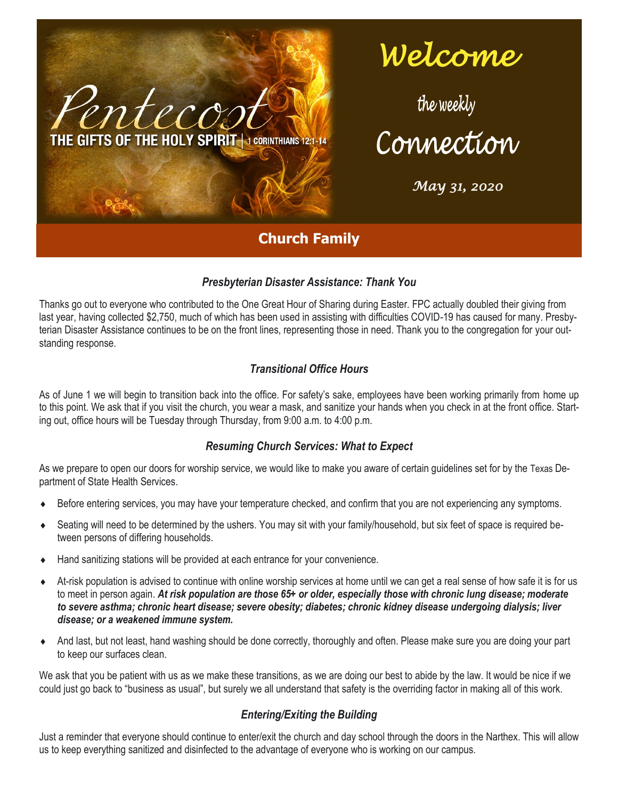

# *Welcome*

Connection

*May 31, 2020* 

# **Church Family**

## *Presbyterian Disaster Assistance: Thank You*

Thanks go out to everyone who contributed to the One Great Hour of Sharing during Easter. FPC actually doubled their giving from last year, having collected \$2,750, much of which has been used in assisting with difficulties COVID-19 has caused for many. Presbyterian Disaster Assistance continues to be on the front lines, representing those in need. Thank you to the congregation for your outstanding response.

## *Transitional Office Hours*

As of June 1 we will begin to transition back into the office. For safety's sake, employees have been working primarily from home up to this point. We ask that if you visit the church, you wear a mask, and sanitize your hands when you check in at the front office. Starting out, office hours will be Tuesday through Thursday, from 9:00 a.m. to 4:00 p.m.

## *Resuming Church Services: What to Expect*

As we prepare to open our doors for worship service, we would like to make you aware of certain guidelines set for by the Texas Department of State Health Services.

- Before entering services, you may have your temperature checked, and confirm that you are not experiencing any symptoms.
- Seating will need to be determined by the ushers. You may sit with your family/household, but six feet of space is required between persons of differing households.
- Hand sanitizing stations will be provided at each entrance for your convenience.
- At-risk population is advised to continue with online worship services at home until we can get a real sense of how safe it is for us to meet in person again. *At risk population are those 65+ or older, especially those with chronic lung disease; moderate to severe asthma; chronic heart disease; severe obesity; diabetes; chronic kidney disease undergoing dialysis; liver disease; or a weakened immune system.*
- And last, but not least, hand washing should be done correctly, thoroughly and often. Please make sure you are doing your part to keep our surfaces clean.

We ask that you be patient with us as we make these transitions, as we are doing our best to abide by the law. It would be nice if we could just go back to "business as usual", but surely we all understand that safety is the overriding factor in making all of this work.

## *Entering/Exiting the Building*

Just a reminder that everyone should continue to enter/exit the church and day school through the doors in the Narthex. This will allow us to keep everything sanitized and disinfected to the advantage of everyone who is working on our campus.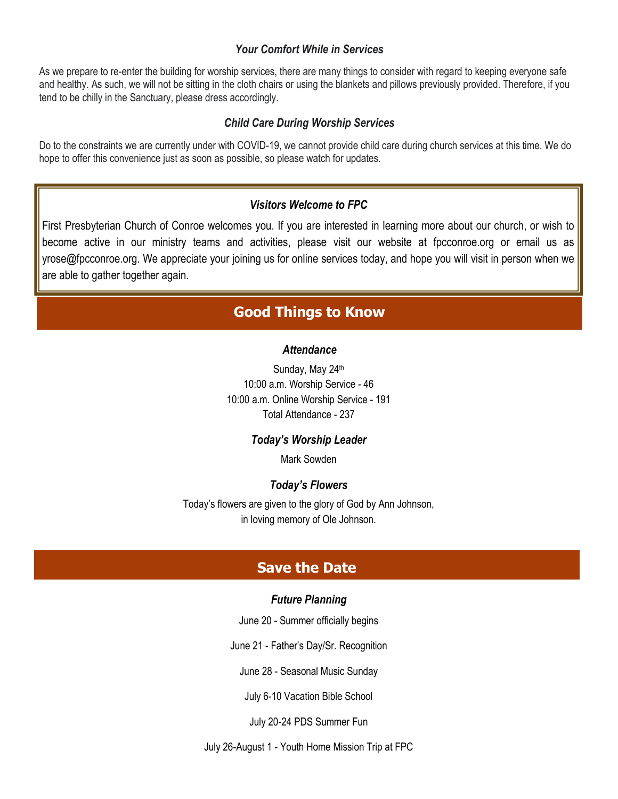## *Your Comfort While in Services*

As we prepare to re-enter the building for worship services, there are many things to consider with regard to keeping everyone safe and healthy. As such, we will not be sitting in the cloth chairs or using the blankets and pillows previously provided. Therefore, if you tend to be chilly in the Sanctuary, please dress accordingly.

## *Child Care During Worship Services*

Do to the constraints we are currently under with COVID-19, we cannot provide child care during church services at this time. We do hope to offer this convenience just as soon as possible, so please watch for updates.

## *Visitors Welcome to FPC*

First Presbyterian Church of Conroe welcomes you. If you are interested in learning more about our church, or wish to become active in our ministry teams and activities, please visit our website at fpcconroe.org or email us as yrose@fpcconroe.org. We appreciate your joining us for online services today, and hope you will visit in person when we are able to gather together again.

# **Good Things to Know**

### *Attendance*

Sunday, May 24th 10:00 a.m. Worship Service - 46 10:00 a.m. Online Worship Service - 191 Total Attendance - 237

#### *Today's Worship Leader*

Mark Sowden

### *Today's Flowers*

Today's flowers are given to the glory of God by Ann Johnson, in loving memory of Ole Johnson.

## **Save the Date**

#### *Future Planning*

June 20 - Summer officially begins

June 21 - Father's Day/Sr. Recognition

June 28 - Seasonal Music Sunday

July 6-10 Vacation Bible School

July 20-24 PDS Summer Fun

July 26-August 1 - Youth Home Mission Trip at FPC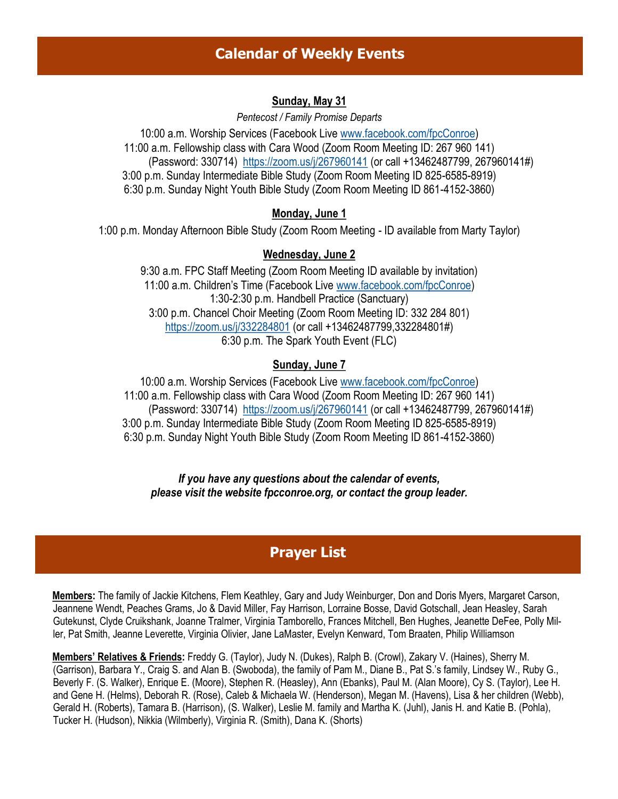# **Calendar of Weekly Events**

## **Sunday, May 31**

*Pentecost / Family Promise Departs*

10:00 a.m. Worship Services (Facebook Live [www.facebook.com/fpcConroe\)](http://www.facebook.com/fpcConroe) 11:00 a.m. Fellowship class with Cara Wood (Zoom Room Meeting ID: 267 960 141) (Password: 330714) <https://zoom.us/j/267960141> (or call +13462487799, 267960141#) 3:00 p.m. Sunday Intermediate Bible Study (Zoom Room Meeting ID 825-6585-8919) 6:30 p.m. Sunday Night Youth Bible Study (Zoom Room Meeting ID 861-4152-3860)

## **Monday, June 1**

1:00 p.m. Monday Afternoon Bible Study (Zoom Room Meeting - ID available from Marty Taylor)

## **Wednesday, June 2**

9:30 a.m. FPC Staff Meeting (Zoom Room Meeting ID available by invitation) 11:00 a.m. Children's Time (Facebook Live [www.facebook.com/fpcConroe\)](http://www.facebook.com/fpcConroe) 1:30-2:30 p.m. Handbell Practice (Sanctuary) 3:00 p.m. Chancel Choir Meeting (Zoom Room Meeting ID: 332 284 801) <https://zoom.us/j/332284801> (or call +13462487799,332284801#) 6:30 p.m. The Spark Youth Event (FLC)

## **Sunday, June 7**

10:00 a.m. Worship Services (Facebook Live [www.facebook.com/fpcConroe\)](http://www.facebook.com/fpcConroe) 11:00 a.m. Fellowship class with Cara Wood (Zoom Room Meeting ID: 267 960 141) (Password: 330714) <https://zoom.us/j/267960141> (or call +13462487799, 267960141#) 3:00 p.m. Sunday Intermediate Bible Study (Zoom Room Meeting ID 825-6585-8919) 6:30 p.m. Sunday Night Youth Bible Study (Zoom Room Meeting ID 861-4152-3860)

*If you have any questions about the calendar of events, please visit the website fpcconroe.org, or contact the group leader.*

# **Prayer List**

**Members:** The family of Jackie Kitchens, Flem Keathley, Gary and Judy Weinburger, Don and Doris Myers, Margaret Carson, Jeannene Wendt, Peaches Grams, Jo & David Miller, Fay Harrison, Lorraine Bosse, David Gotschall, Jean Heasley, Sarah Gutekunst, Clyde Cruikshank, Joanne Tralmer, Virginia Tamborello, Frances Mitchell, Ben Hughes, Jeanette DeFee, Polly Miller, Pat Smith, Jeanne Leverette, Virginia Olivier, Jane LaMaster, Evelyn Kenward, Tom Braaten, Philip Williamson

**Members' Relatives & Friends:** Freddy G. (Taylor), Judy N. (Dukes), Ralph B. (Crowl), Zakary V. (Haines), Sherry M. (Garrison), Barbara Y., Craig S. and Alan B. (Swoboda), the family of Pam M., Diane B., Pat S.'s family, Lindsey W., Ruby G., Beverly F. (S. Walker), Enrique E. (Moore), Stephen R. (Heasley), Ann (Ebanks), Paul M. (Alan Moore), Cy S. (Taylor), Lee H. and Gene H. (Helms), Deborah R. (Rose), Caleb & Michaela W. (Henderson), Megan M. (Havens), Lisa & her children (Webb), Gerald H. (Roberts), Tamara B. (Harrison), (S. Walker), Leslie M. family and Martha K. (Juhl), Janis H. and Katie B. (Pohla), Tucker H. (Hudson), Nikkia (Wilmberly), Virginia R. (Smith), Dana K. (Shorts)